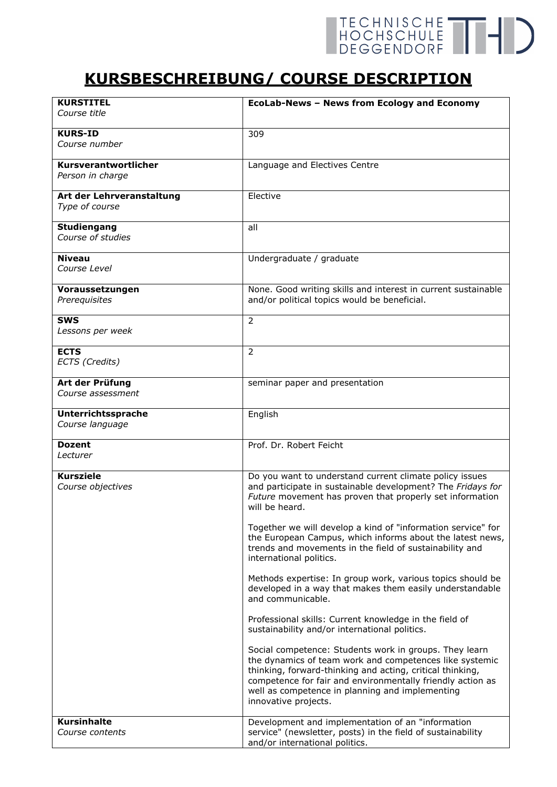## TECHNISCHE THE

## **KURSBESCHREIBUNG/ COURSE DESCRIPTION**

| <b>KURSTITEL</b><br>Course title            | EcoLab-News - News from Ecology and Economy                                                                                                                                                                                                                                                                             |
|---------------------------------------------|-------------------------------------------------------------------------------------------------------------------------------------------------------------------------------------------------------------------------------------------------------------------------------------------------------------------------|
| <b>KURS-ID</b><br>Course number             | 309                                                                                                                                                                                                                                                                                                                     |
| Kursverantwortlicher<br>Person in charge    | Language and Electives Centre                                                                                                                                                                                                                                                                                           |
| Art der Lehrveranstaltung<br>Type of course | Elective                                                                                                                                                                                                                                                                                                                |
| <b>Studiengang</b><br>Course of studies     | all                                                                                                                                                                                                                                                                                                                     |
| <b>Niveau</b><br>Course Level               | Undergraduate / graduate                                                                                                                                                                                                                                                                                                |
| Voraussetzungen<br>Prerequisites            | None. Good writing skills and interest in current sustainable<br>and/or political topics would be beneficial.                                                                                                                                                                                                           |
| <b>SWS</b><br>Lessons per week              | $\overline{2}$                                                                                                                                                                                                                                                                                                          |
| <b>ECTS</b><br>ECTS (Credits)               | $\overline{2}$                                                                                                                                                                                                                                                                                                          |
| Art der Prüfung<br>Course assessment        | seminar paper and presentation                                                                                                                                                                                                                                                                                          |
| Unterrichtssprache<br>Course language       | English                                                                                                                                                                                                                                                                                                                 |
| <b>Dozent</b><br>Lecturer                   | Prof. Dr. Robert Feicht                                                                                                                                                                                                                                                                                                 |
| <b>Kursziele</b><br>Course objectives       | Do you want to understand current climate policy issues<br>and participate in sustainable development? The Fridays for<br>Future movement has proven that properly set information<br>will be heard.                                                                                                                    |
|                                             | Together we will develop a kind of "information service" for<br>the European Campus, which informs about the latest news,<br>trends and movements in the field of sustainability and<br>international politics.                                                                                                         |
|                                             | Methods expertise: In group work, various topics should be<br>developed in a way that makes them easily understandable<br>and communicable.                                                                                                                                                                             |
|                                             | Professional skills: Current knowledge in the field of<br>sustainability and/or international politics.                                                                                                                                                                                                                 |
|                                             | Social competence: Students work in groups. They learn<br>the dynamics of team work and competences like systemic<br>thinking, forward-thinking and acting, critical thinking,<br>competence for fair and environmentally friendly action as<br>well as competence in planning and implementing<br>innovative projects. |
| <b>Kursinhalte</b><br>Course contents       | Development and implementation of an "information<br>service" (newsletter, posts) in the field of sustainability<br>and/or international politics.                                                                                                                                                                      |